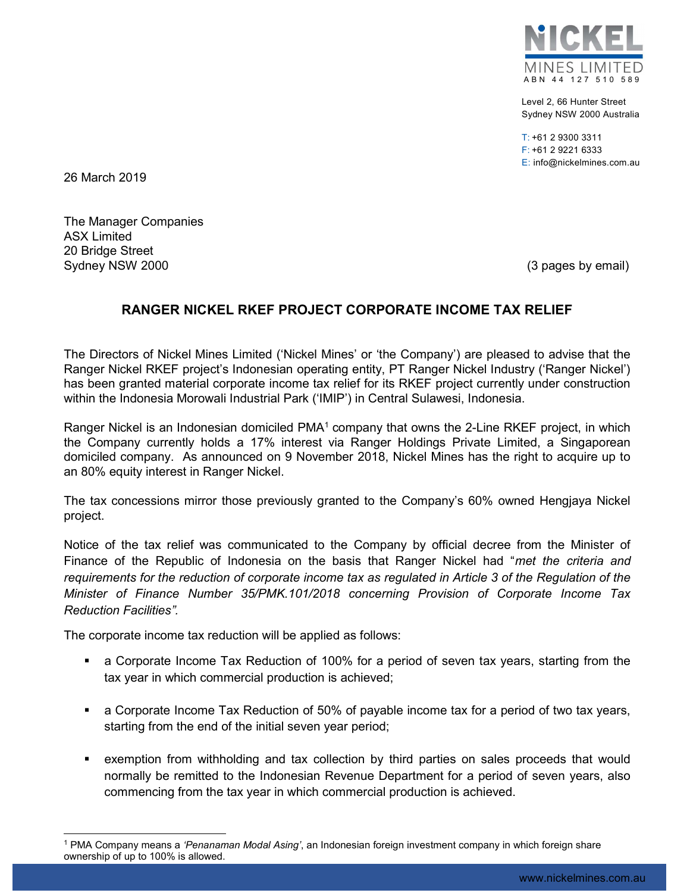

Level 2, 66 Hunter Street Sydney NSW 2000 Australia

T: +61 2 9300 3311 F: +61 2 9221 6333 E: info@nickelmines.com.au

26 March 2019

The Manager Companies ASX Limited 20 Bridge Street Sydney NSW 2000 (3 pages by email)

## RANGER NICKEL RKEF PROJECT CORPORATE INCOME TAX RELIEF

The Directors of Nickel Mines Limited ('Nickel Mines' or 'the Company') are pleased to advise that the Ranger Nickel RKEF project's Indonesian operating entity, PT Ranger Nickel Industry ('Ranger Nickel') has been granted material corporate income tax relief for its RKEF project currently under construction within the Indonesia Morowali Industrial Park ('IMIP') in Central Sulawesi, Indonesia.

Ranger Nickel is an Indonesian domiciled  $PMA<sup>1</sup>$  company that owns the 2-Line RKEF project, in which the Company currently holds a 17% interest via Ranger Holdings Private Limited, a Singaporean domiciled company. As announced on 9 November 2018, Nickel Mines has the right to acquire up to an 80% equity interest in Ranger Nickel.

The tax concessions mirror those previously granted to the Company's 60% owned Hengjaya Nickel project.

Notice of the tax relief was communicated to the Company by official decree from the Minister of Finance of the Republic of Indonesia on the basis that Ranger Nickel had "met the criteria and requirements for the reduction of corporate income tax as regulated in Article 3 of the Regulation of the Minister of Finance Number 35/PMK.101/2018 concerning Provision of Corporate Income Tax Reduction Facilities".

The corporate income tax reduction will be applied as follows:

- a Corporate Income Tax Reduction of 100% for a period of seven tax years, starting from the tax year in which commercial production is achieved;
- a Corporate Income Tax Reduction of 50% of payable income tax for a period of two tax years, starting from the end of the initial seven year period;
- exemption from withholding and tax collection by third parties on sales proceeds that would normally be remitted to the Indonesian Revenue Department for a period of seven years, also commencing from the tax year in which commercial production is achieved.

<sup>&</sup>lt;sup>1</sup> PMA Company means a *'Penanaman Modal Asing'*, an Indonesian foreign investment company in which foreign share ownership of up to 100% is allowed.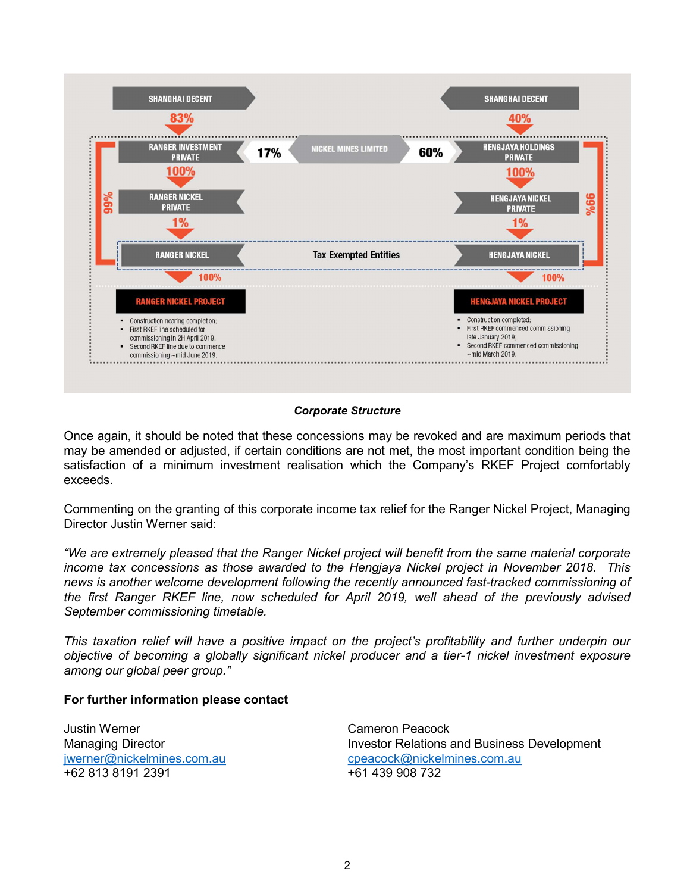

## Corporate Structure

Once again, it should be noted that these concessions may be revoked and are maximum periods that may be amended or adjusted, if certain conditions are not met, the most important condition being the satisfaction of a minimum investment realisation which the Company's RKEF Project comfortably exceeds.

Commenting on the granting of this corporate income tax relief for the Ranger Nickel Project, Managing Director Justin Werner said:

"We are extremely pleased that the Ranger Nickel project will benefit from the same material corporate income tax concessions as those awarded to the Hengjaya Nickel project in November 2018. This news is another welcome development following the recently announced fast-tracked commissioning of the first Ranger RKEF line, now scheduled for April 2019, well ahead of the previously advised September commissioning timetable.

This taxation relief will have a positive impact on the project's profitability and further underpin our objective of becoming a globally significant nickel producer and a tier-1 nickel investment exposure among our global peer group."

## For further information please contact

Justin Werner Cameron Peacock +62 813 8191 2391 +61 439 908 732

Managing Director **Investor Relations and Business Development** jwerner@nickelmines.com.au cpeacock@nickelmines.com.au